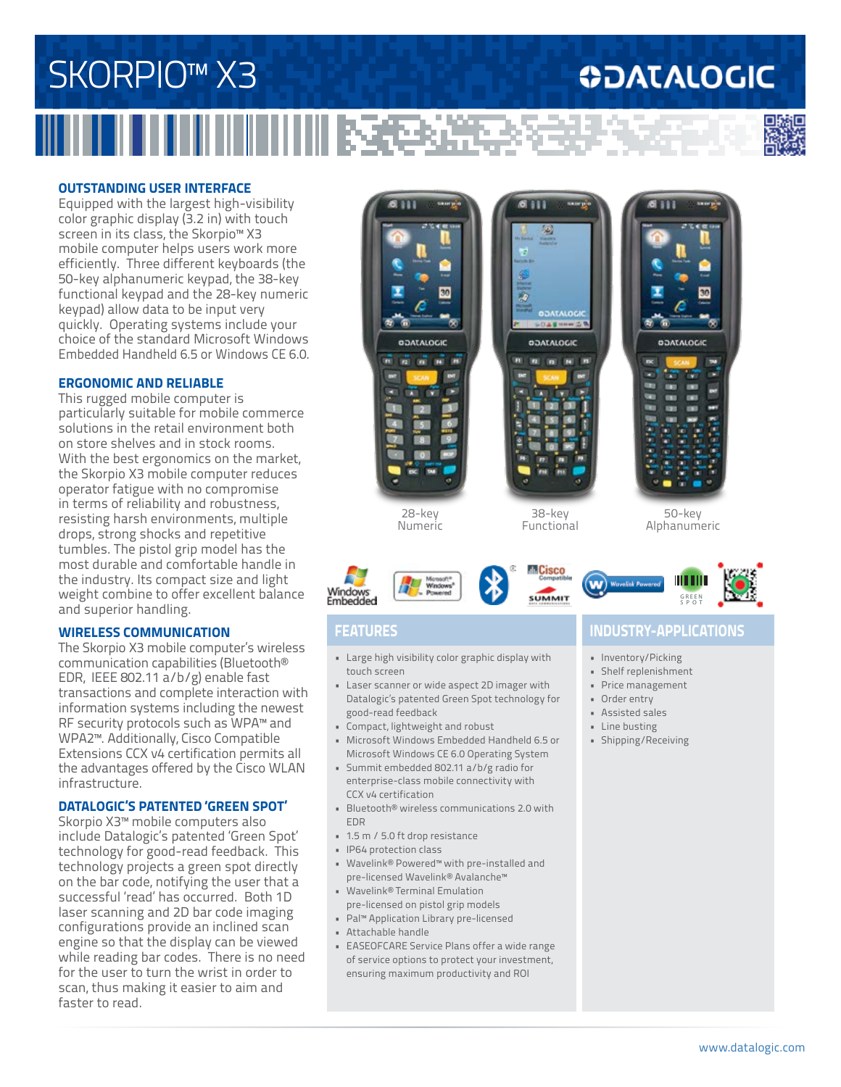## SKORPIO<sup>™</sup> X3 **ODATALOGIC**

## **OUTSTANDING USER INTERFACE**

Equipped with the largest high-visibility color graphic display (3.2 in) with touch screen in its class, the Skorpio™ X3 mobile computer helps users work more efficiently. Three different keyboards (the 50-key alphanumeric keypad, the 38-key functional keypad and the 28-key numeric keypad) allow data to be input very quickly. Operating systems include your choice of the standard Microsoft Windows Embedded Handheld 6.5 or Windows CE 6.0.

## **ERGONOMIC AND RELIABLE**

This rugged mobile computer is particularly suitable for mobile commerce solutions in the retail environment both on store shelves and in stock rooms. With the best ergonomics on the market, the Skorpio X3 mobile computer reduces operator fatigue with no compromise in terms of reliability and robustness, resisting harsh environments, multiple drops, strong shocks and repetitive tumbles. The pistol grip model has the most durable and comfortable handle in the industry. Its compact size and light weight combine to offer excellent balance and superior handling.

## **WIRELESS COMMUNICATION**

The Skorpio X3 mobile computer's wireless communication capabilities (Bluetooth® EDR, IEEE 802.11 a/b/g) enable fast transactions and complete interaction with information systems including the newest RF security protocols such as WPA™ and WPA2™. Additionally, Cisco Compatible Extensions CCX v4 certification permits all the advantages offered by the Cisco WLAN infrastructure.

### **DATALOGIC'S PATENTED 'GREEN SPOT'**

Skorpio X3™ mobile computers also include Datalogic's patented 'Green Spot' technology for good-read feedback. This technology projects a green spot directly on the bar code, notifying the user that a successful 'read' has occurred. Both 1D laser scanning and 2D bar code imaging configurations provide an inclined scan engine so that the display can be viewed while reading bar codes. There is no need for the user to turn the wrist in order to scan, thus making it easier to aim and faster to read.

## 28-key Numeric

### **SUMMIT** GREEN SPOT

Windows

- Large high visibility color graphic display with touch screen
- Laser scanner or wide aspect 2D imager with Datalogic's patented Green Spot technology for good-read feedback
- Compact, lightweight and robust
- Microsoft Windows Embedded Handheld 6.5 or Microsoft Windows CE 6.0 Operating System
- Summit embedded 802.11 a/b/g radio for enterprise-class mobile connectivity with CCX v4 certification
- Bluetooth® wireless communications 2.0 with EDR
- 1.5 m / 5.0 ft drop resistance
- IP64 protection class
- Wavelink® Powered™ with pre-installed and pre-licensed Wavelink® Avalanche™
- Wavelink® Terminal Emulation pre-licensed on pistol grip models
- Pal™ Application Library pre-licensed
- Attachable handle
- EASEOFCARE Service Plans offer a wide range of service options to protect your investment, ensuring maximum productivity and ROI

## **FEATURES INDUSTRY-APPLICATIONS**

50-key Alphanumeric

- Inventory/Picking
- Shelf replenishment
- Price management
- Order entry
- Assisted sales
- Line busting
- Shipping/Receiving



38-key Functional

M. Cisco